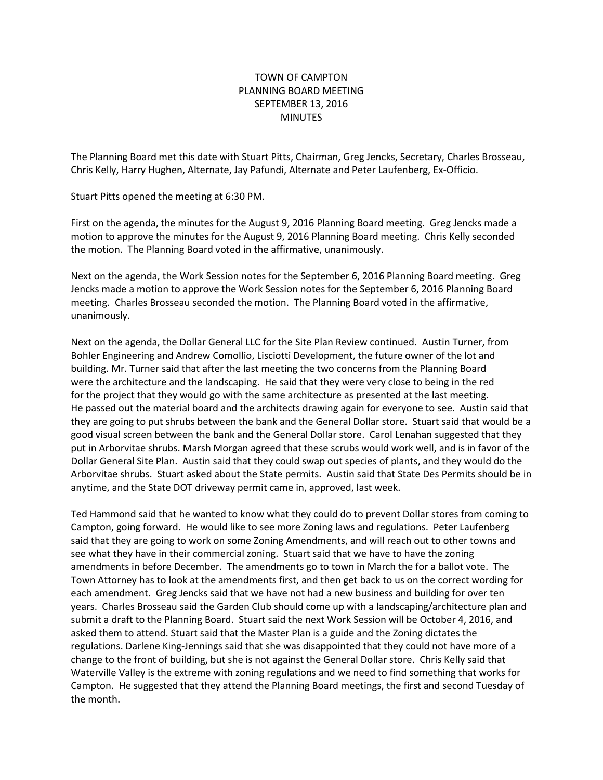## TOWN OF CAMPTON PLANNING BOARD MEETING SEPTEMBER 13, 2016 **MINUTES**

The Planning Board met this date with Stuart Pitts, Chairman, Greg Jencks, Secretary, Charles Brosseau, Chris Kelly, Harry Hughen, Alternate, Jay Pafundi, Alternate and Peter Laufenberg, Ex-Officio.

Stuart Pitts opened the meeting at 6:30 PM.

First on the agenda, the minutes for the August 9, 2016 Planning Board meeting. Greg Jencks made a motion to approve the minutes for the August 9, 2016 Planning Board meeting. Chris Kelly seconded the motion. The Planning Board voted in the affirmative, unanimously.

Next on the agenda, the Work Session notes for the September 6, 2016 Planning Board meeting. Greg Jencks made a motion to approve the Work Session notes for the September 6, 2016 Planning Board meeting. Charles Brosseau seconded the motion. The Planning Board voted in the affirmative, unanimously.

Next on the agenda, the Dollar General LLC for the Site Plan Review continued. Austin Turner, from Bohler Engineering and Andrew Comollio, Lisciotti Development, the future owner of the lot and building. Mr. Turner said that after the last meeting the two concerns from the Planning Board were the architecture and the landscaping. He said that they were very close to being in the red for the project that they would go with the same architecture as presented at the last meeting. He passed out the material board and the architects drawing again for everyone to see. Austin said that they are going to put shrubs between the bank and the General Dollar store. Stuart said that would be a good visual screen between the bank and the General Dollar store. Carol Lenahan suggested that they put in Arborvitae shrubs. Marsh Morgan agreed that these scrubs would work well, and is in favor of the Dollar General Site Plan. Austin said that they could swap out species of plants, and they would do the Arborvitae shrubs. Stuart asked about the State permits. Austin said that State Des Permits should be in anytime, and the State DOT driveway permit came in, approved, last week.

Ted Hammond said that he wanted to know what they could do to prevent Dollar stores from coming to Campton, going forward. He would like to see more Zoning laws and regulations. Peter Laufenberg said that they are going to work on some Zoning Amendments, and will reach out to other towns and see what they have in their commercial zoning. Stuart said that we have to have the zoning amendments in before December. The amendments go to town in March the for a ballot vote. The Town Attorney has to look at the amendments first, and then get back to us on the correct wording for each amendment. Greg Jencks said that we have not had a new business and building for over ten years. Charles Brosseau said the Garden Club should come up with a landscaping/architecture plan and submit a draft to the Planning Board. Stuart said the next Work Session will be October 4, 2016, and asked them to attend. Stuart said that the Master Plan is a guide and the Zoning dictates the regulations. Darlene King-Jennings said that she was disappointed that they could not have more of a change to the front of building, but she is not against the General Dollar store. Chris Kelly said that Waterville Valley is the extreme with zoning regulations and we need to find something that works for Campton. He suggested that they attend the Planning Board meetings, the first and second Tuesday of the month.